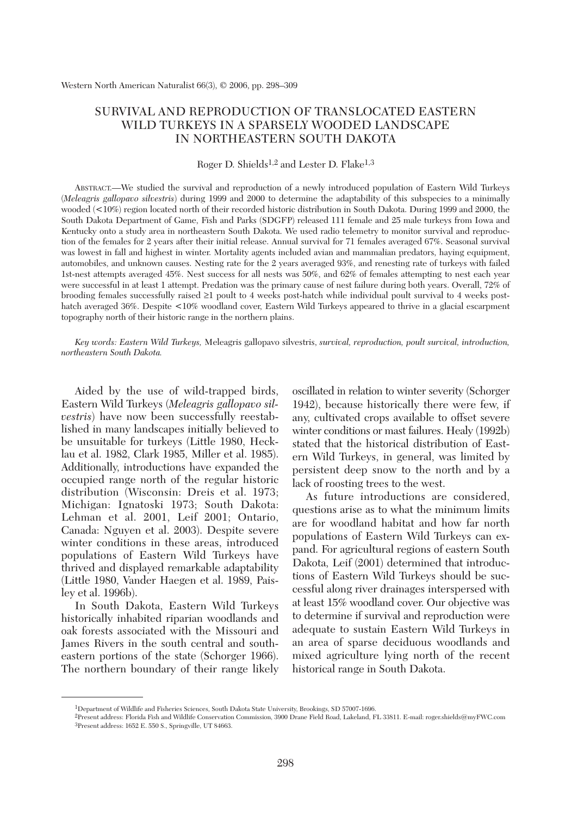# SURVIVAL AND REPRODUCTION OF TRANSLOCATED EASTERN WILD TURKEYS IN A SPARSELY WOODED LANDSCAPE IN NORTHEASTERN SOUTH DAKOTA

Roger D. Shields<sup>1,2</sup> and Lester D. Flake<sup>1,3</sup>

ABSTRACT.—We studied the survival and reproduction of a newly introduced population of Eastern Wild Turkeys (*Meleagris gallopavo silvestris*) during 1999 and 2000 to determine the adaptability of this subspecies to a minimally wooded (<10%) region located north of their recorded historic distribution in South Dakota. During 1999 and 2000, the South Dakota Department of Game, Fish and Parks (SDGFP) released 111 female and 25 male turkeys from Iowa and Kentucky onto a study area in northeastern South Dakota. We used radio telemetry to monitor survival and reproduction of the females for 2 years after their initial release. Annual survival for 71 females averaged 67%. Seasonal survival was lowest in fall and highest in winter. Mortality agents included avian and mammalian predators, haying equipment, automobiles, and unknown causes. Nesting rate for the 2 years averaged 93%, and renesting rate of turkeys with failed 1st-nest attempts averaged 45%. Nest success for all nests was 50%, and 62% of females attempting to nest each year were successful in at least 1 attempt. Predation was the primary cause of nest failure during both years. Overall, 72% of brooding females successfully raised ≥1 poult to 4 weeks post-hatch while individual poult survival to 4 weeks posthatch averaged 36%. Despite <10% woodland cover, Eastern Wild Turkeys appeared to thrive in a glacial escarpment topography north of their historic range in the northern plains.

*Key words: Eastern Wild Turkeys,* Meleagris gallopavo silvestris, *survival, reproduction, poult survival, introduction, northeastern South Dakota.* 

Aided by the use of wild-trapped birds, Eastern Wild Turkeys (*Meleagris gallopavo silvestris*) have now been successfully reestablished in many landscapes initially believed to be unsuitable for turkeys (Little 1980, Hecklau et al. 1982, Clark 1985, Miller et al. 1985). Additionally, introductions have expanded the occupied range north of the regular historic distribution (Wisconsin: Dreis et al. 1973; Michigan: Ignatoski 1973; South Dakota: Lehman et al. 2001, Leif 2001; Ontario, Canada: Nguyen et al. 2003). Despite severe winter conditions in these areas, introduced populations of Eastern Wild Turkeys have thrived and displayed remarkable adaptability (Little 1980, Vander Haegen et al. 1989, Paisley et al. 1996b).

In South Dakota, Eastern Wild Turkeys historically inhabited riparian woodlands and oak forests associated with the Missouri and James Rivers in the south central and southeastern portions of the state (Schorger 1966). The northern boundary of their range likely oscillated in relation to winter severity (Schorger 1942), because historically there were few, if any, cultivated crops available to offset severe winter conditions or mast failures. Healy (1992b) stated that the historical distribution of Eastern Wild Turkeys, in general, was limited by persistent deep snow to the north and by a lack of roosting trees to the west.

As future introductions are considered, questions arise as to what the minimum limits are for woodland habitat and how far north populations of Eastern Wild Turkeys can expand. For agricultural regions of eastern South Dakota, Leif (2001) determined that introductions of Eastern Wild Turkeys should be successful along river drainages interspersed with at least 15% woodland cover. Our objective was to determine if survival and reproduction were adequate to sustain Eastern Wild Turkeys in an area of sparse deciduous woodlands and mixed agriculture lying north of the recent historical range in South Dakota.

<sup>1</sup>Department of Wildlife and Fisheries Sciences, South Dakota State University, Brookings, SD 57007-1696.

<sup>2</sup>Present address: Florida Fish and Wildlife Conservation Commission, 3900 Drane Field Road, Lakeland, FL 33811. E-mail: roger.shields@myFWC.com 3Present address: 1652 E. 550 S., Springville, UT 84663.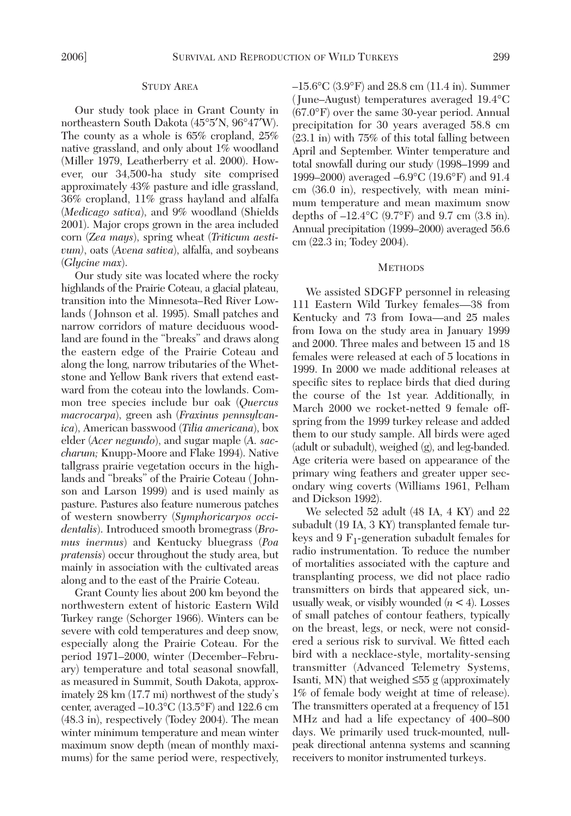#### STUDY AREA

Our study took place in Grant County in northeastern South Dakota (45°5′N, 96°47′W). The county as a whole is 65% cropland, 25% native grassland, and only about 1% woodland (Miller 1979, Leatherberry et al. 2000). However, our 34,500-ha study site comprised approximately 43% pasture and idle grassland, 36% cropland, 11% grass hayland and alfalfa (*Medicago sativa*), and 9% woodland (Shields 2001). Major crops grown in the area included corn (*Zea mays*), spring wheat (*Triticum aestivum)*, oats (*Avena sativa*), alfalfa, and soybeans (*Glycine max*).

Our study site was located where the rocky highlands of the Prairie Coteau, a glacial plateau, transition into the Minnesota–Red River Lowlands ( Johnson et al. 1995). Small patches and narrow corridors of mature deciduous woodland are found in the "breaks" and draws along the eastern edge of the Prairie Coteau and along the long, narrow tributaries of the Whetstone and Yellow Bank rivers that extend eastward from the coteau into the lowlands. Common tree species include bur oak (*Quercus macrocarpa*), green ash (*Fraxinus pennsylvanica*), American basswood (*Tilia americana*), box elder (*Acer negundo*), and sugar maple (*A. saccharum;* Knupp-Moore and Flake 1994). Native tallgrass prairie vegetation occurs in the highlands and "breaks" of the Prairie Coteau ( Johnson and Larson 1999) and is used mainly as pasture. Pastures also feature numerous patches of western snowberry (*Symphoricarpos occidentalis*). Introduced smooth bromegrass (*Bromus inermus*) and Kentucky bluegrass (*Poa pratensis*) occur throughout the study area, but mainly in association with the cultivated areas along and to the east of the Prairie Coteau.

Grant County lies about 200 km beyond the northwestern extent of historic Eastern Wild Turkey range (Schorger 1966). Winters can be severe with cold temperatures and deep snow, especially along the Prairie Coteau. For the period 1971–2000, winter (December–February) temperature and total seasonal snowfall, as measured in Summit, South Dakota, approximately 28 km (17.7 mi) northwest of the study's center, averaged  $-10.3$ °C (13.5°F) and 122.6 cm (48.3 in), respectively (Todey 2004). The mean winter minimum temperature and mean winter maximum snow depth (mean of monthly maximums) for the same period were, respectively, –15.6°C (3.9°F) and 28.8 cm (11.4 in). Summer (June–August) temperatures averaged 19.4°C (67.0°F) over the same 30-year period. Annual precipitation for 30 years averaged 58.8 cm (23.1 in) with 75% of this total falling between April and September. Winter temperature and total snowfall during our study (1998–1999 and 1999–2000) averaged –6.9°C (19.6°F) and 91.4 cm (36.0 in), respectively, with mean minimum temperature and mean maximum snow depths of  $-12.4$ °C (9.7°F) and 9.7 cm (3.8 in). Annual precipitation (1999–2000) averaged 56.6 cm (22.3 in; Todey 2004).

#### **METHODS**

We assisted SDGFP personnel in releasing 111 Eastern Wild Turkey females—38 from Kentucky and 73 from Iowa—and 25 males from Iowa on the study area in January 1999 and 2000. Three males and between 15 and 18 females were released at each of 5 locations in 1999. In 2000 we made additional releases at specific sites to replace birds that died during the course of the 1st year. Additionally, in March 2000 we rocket-netted 9 female offspring from the 1999 turkey release and added them to our study sample. All birds were aged (adult or subadult), weighed (g), and leg-banded. Age criteria were based on appearance of the primary wing feathers and greater upper secondary wing coverts (Williams 1961, Pelham and Dickson 1992).

We selected 52 adult (48 IA, 4 KY) and 22 subadult (19 IA, 3 KY) transplanted female turkeys and 9  $F_1$ -generation subadult females for radio instrumentation. To reduce the number of mortalities associated with the capture and transplanting process, we did not place radio transmitters on birds that appeared sick, unusually weak, or visibly wounded (*n* < 4). Losses of small patches of contour feathers, typically on the breast, legs, or neck, were not considered a serious risk to survival. We fitted each bird with a necklace-style, mortality-sensing transmitter (Advanced Telemetry Systems, Isanti, MN) that weighed ≤55 g (approximately 1% of female body weight at time of release). The transmitters operated at a frequency of 151 MHz and had a life expectancy of 400–800 days. We primarily used truck-mounted, nullpeak directional antenna systems and scanning receivers to monitor instrumented turkeys.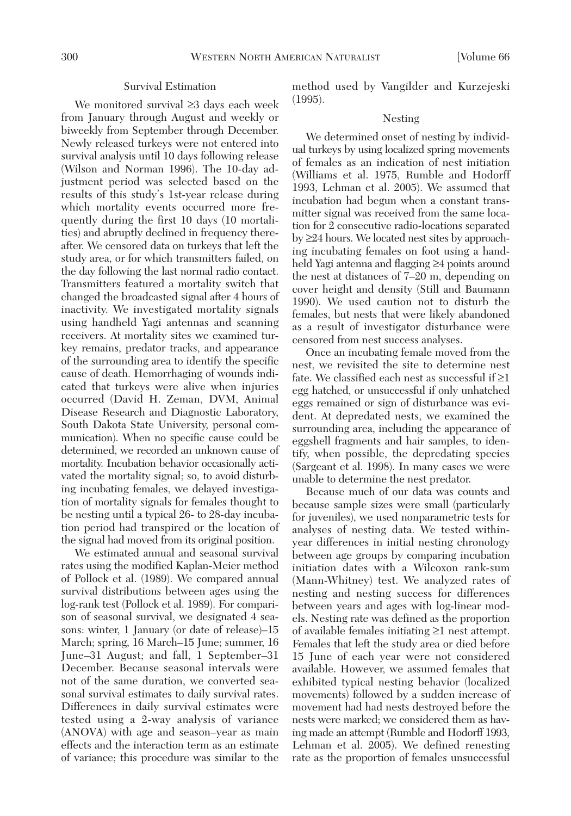## Survival Estimation

We monitored survival ≥3 days each week from January through August and weekly or biweekly from September through December. Newly released turkeys were not entered into survival analysis until 10 days following release (Wilson and Norman 1996). The 10-day adjustment period was selected based on the results of this study's 1st-year release during which mortality events occurred more frequently during the first 10 days (10 mortalities) and abruptly declined in frequency thereafter. We censored data on turkeys that left the study area, or for which transmitters failed, on the day following the last normal radio contact. Transmitters featured a mortality switch that changed the broadcasted signal after 4 hours of inactivity. We investigated mortality signals using handheld Yagi antennas and scanning receivers. At mortality sites we examined turkey remains, predator tracks, and appearance of the surrounding area to identify the specific cause of death. Hemorrhaging of wounds indicated that turkeys were alive when injuries occurred (David H. Zeman, DVM, Animal Disease Research and Diagnostic Laboratory, South Dakota State University, personal communication). When no specific cause could be determined, we recorded an unknown cause of mortality. Incubation behavior occasionally activated the mortality signal; so, to avoid disturbing incubating females, we delayed investigation of mortality signals for females thought to be nesting until a typical 26- to 28-day incubation period had transpired or the location of the signal had moved from its original position.

We estimated annual and seasonal survival rates using the modified Kaplan-Meier method of Pollock et al. (1989). We compared annual survival distributions between ages using the log-rank test (Pollock et al. 1989). For comparison of seasonal survival, we designated 4 seasons: winter, 1 January (or date of release)–15 March; spring, 16 March–15 June; summer, 16 June–31 August; and fall, 1 September–31 December. Because seasonal intervals were not of the same duration, we converted seasonal survival estimates to daily survival rates. Differences in daily survival estimates were tested using a 2-way analysis of variance (ANOVA) with age and season–year as main effects and the interaction term as an estimate of variance; this procedure was similar to the method used by Vangilder and Kurzejeski (1995).

#### Nesting

We determined onset of nesting by individual turkeys by using localized spring movements of females as an indication of nest initiation (Williams et al. 1975, Rumble and Hodorff 1993, Lehman et al. 2005). We assumed that incubation had begun when a constant transmitter signal was received from the same location for 2 consecutive radio-locations separated by ≥24 hours. We located nest sites by approaching incubating females on foot using a handheld Yagi antenna and flagging ≥4 points around the nest at distances of 7–20 m, depending on cover height and density (Still and Baumann 1990). We used caution not to disturb the females, but nests that were likely abandoned as a result of investigator disturbance were censored from nest success analyses.

Once an incubating female moved from the nest, we revisited the site to determine nest fate. We classified each nest as successful if  $\geq 1$ egg hatched, or unsuccessful if only unhatched eggs remained or sign of disturbance was evident. At depredated nests, we examined the surrounding area, including the appearance of eggshell fragments and hair samples, to identify, when possible, the depredating species (Sargeant et al. 1998). In many cases we were unable to determine the nest predator.

Because much of our data was counts and because sample sizes were small (particularly for juveniles), we used nonparametric tests for analyses of nesting data. We tested withinyear differences in initial nesting chronology between age groups by comparing incubation initiation dates with a Wilcoxon rank-sum (Mann-Whitney) test. We analyzed rates of nesting and nesting success for differences between years and ages with log-linear models. Nesting rate was defined as the proportion of available females initiating ≥1 nest attempt. Females that left the study area or died before 15 June of each year were not considered available. However, we assumed females that exhibited typical nesting behavior (localized movements) followed by a sudden increase of movement had had nests destroyed before the nests were marked; we considered them as having made an attempt (Rumble and Hodorff 1993, Lehman et al. 2005). We defined renesting rate as the proportion of females unsuccessful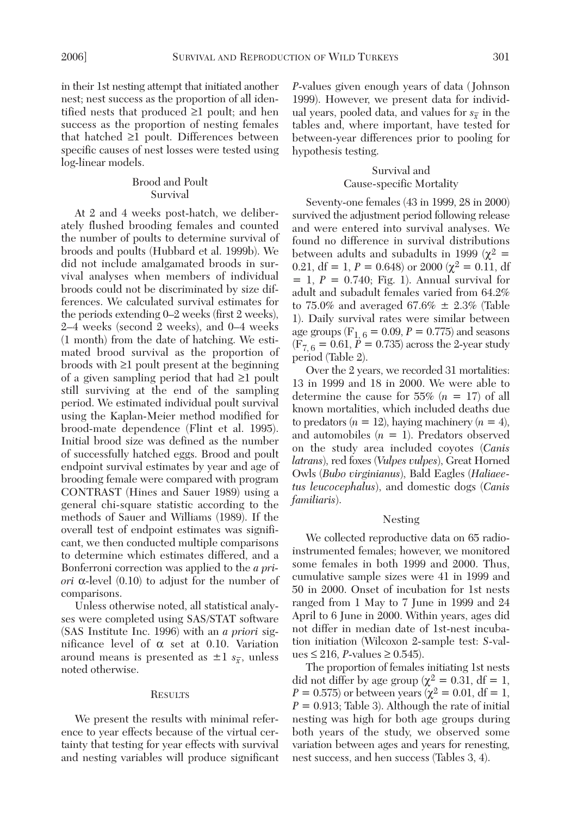in their 1st nesting attempt that initiated another nest; nest success as the proportion of all identified nests that produced ≥1 poult; and hen success as the proportion of nesting females that hatched ≥1 poult. Differences between specific causes of nest losses were tested using log-linear models.

# Brood and Poult Survival

At 2 and 4 weeks post-hatch, we deliberately flushed brooding females and counted the number of poults to determine survival of broods and poults (Hubbard et al. 1999b). We did not include amalgamated broods in survival analyses when members of individual broods could not be discriminated by size differences. We calculated survival estimates for the periods extending 0–2 weeks (first 2 weeks), 2–4 weeks (second 2 weeks), and 0–4 weeks (1 month) from the date of hatching. We estimated brood survival as the proportion of broods with ≥1 poult present at the beginning of a given sampling period that had ≥1 poult still surviving at the end of the sampling period. We estimated individual poult survival using the Kaplan-Meier method modified for brood-mate dependence (Flint et al. 1995). Initial brood size was defined as the number of successfully hatched eggs. Brood and poult endpoint survival estimates by year and age of brooding female were compared with program CONTRAST (Hines and Sauer 1989) using a general chi-square statistic according to the methods of Sauer and Williams (1989). If the overall test of endpoint estimates was significant, we then conducted multiple comparisons to determine which estimates differed, and a Bonferroni correction was applied to the *a priori* α-level (0.10) to adjust for the number of comparisons.

Unless otherwise noted, all statistical analyses were completed using SAS/STAT software (SAS Institute Inc. 1996) with an *a priori* significance level of  $\alpha$  set at 0.10. Variation around means is presented as  $\pm 1$   $s_{\overline{x}}$ , unless noted otherwise.

#### **RESULTS**

We present the results with minimal reference to year effects because of the virtual certainty that testing for year effects with survival and nesting variables will produce significant

*P*-values given enough years of data ( Johnson 1999). However, we present data for individual years, pooled data, and values for  $s_{\overline{x}}$  in the tables and, where important, have tested for between-year differences prior to pooling for hypothesis testing.

## Survival and Cause-specific Mortality

Seventy-one females (43 in 1999, 28 in 2000) survived the adjustment period following release and were entered into survival analyses. We found no difference in survival distributions between adults and subadults in 1999 ( $\chi^2$  = 0.21, df = 1,  $P = 0.648$ ) or 2000 ( $\chi^2 = 0.11$ , df  $= 1, P = 0.740;$  Fig. 1). Annual survival for adult and subadult females varied from 64.2% to 75.0% and averaged 67.6%  $\pm$  2.3% (Table 1). Daily survival rates were similar between age groups ( $F_{1, 6} = 0.09, P = 0.775$ ) and seasons  $(F_{7, 6} = 0.61, P = 0.735)$  across the 2-year study period (Table 2).

Over the 2 years, we recorded 31 mortalities: 13 in 1999 and 18 in 2000. We were able to determine the cause for 55%  $(n = 17)$  of all known mortalities, which included deaths due to predators  $(n = 12)$ , haying machinery  $(n = 4)$ , and automobiles (*n* = 1). Predators observed on the study area included coyotes (*Canis latrans*), red foxes (*Vulpes vulpes*), Great Horned Owls (*Bubo virginianus*), Bald Eagles (*Haliaeetus leucocephalus*), and domestic dogs (*Canis familiaris*).

#### Nesting

We collected reproductive data on 65 radioinstrumented females; however, we monitored some females in both 1999 and 2000. Thus, cumulative sample sizes were 41 in 1999 and 50 in 2000. Onset of incubation for 1st nests ranged from 1 May to 7 June in 1999 and 24 April to 6 June in 2000. Within years, ages did not differ in median date of 1st-nest incubation initiation (Wilcoxon 2-sample test: *S*-values ≤ 216, *P*-values ≥ 0.545).

The proportion of females initiating 1st nests did not differ by age group ( $\chi^2 = 0.31$ , df = 1, *P* = 0.575) or between years ( $\chi^2$  = 0.01, df = 1,  $P = 0.913$ ; Table 3). Although the rate of initial nesting was high for both age groups during both years of the study, we observed some variation between ages and years for renesting, nest success, and hen success (Tables 3, 4).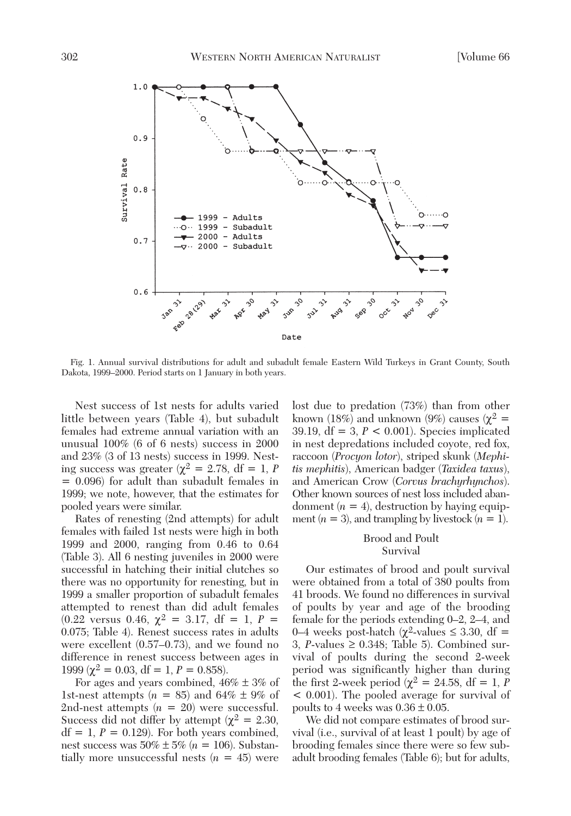

Fig. 1. Annual survival distributions for adult and subadult female Eastern Wild Turkeys in Grant County, South Dakota, 1999–2000. Period starts on 1 January in both years.

Nest success of 1st nests for adults varied little between years (Table 4), but subadult females had extreme annual variation with an unusual 100% (6 of 6 nests) success in 2000 and 23% (3 of 13 nests) success in 1999. Nesting success was greater ( $\chi^2 = 2.78$ , df = 1, *P* = 0.096) for adult than subadult females in 1999; we note, however, that the estimates for pooled years were similar.

Rates of renesting (2nd attempts) for adult females with failed 1st nests were high in both 1999 and 2000, ranging from 0.46 to 0.64 (Table 3). All 6 nesting juveniles in 2000 were successful in hatching their initial clutches so there was no opportunity for renesting, but in 1999 a smaller proportion of subadult females attempted to renest than did adult females  $(0.22 \text{ versus } 0.46, \chi^2 = 3.17, \text{ df} = 1, P =$ 0.075; Table 4). Renest success rates in adults were excellent (0.57–0.73), and we found no difference in renest success between ages in 1999 ( $\chi^2 = 0.03$ , df = 1, P = 0.858).

For ages and years combined,  $46\% \pm 3\%$  of 1st-nest attempts  $(n = 85)$  and  $64\% \pm 9\%$  of 2nd-nest attempts  $(n = 20)$  were successful. Success did not differ by attempt ( $\chi^2 = 2.30$ ,  $df = 1$ ,  $P = 0.129$ ). For both years combined, nest success was 50% ± 5% (*n* = 106). Substantially more unsuccessful nests  $(n = 45)$  were

lost due to predation (73%) than from other known (18%) and unknown (9%) causes ( $\chi^2$  = 39.19,  $df = 3$ ,  $P < 0.001$ ). Species implicated in nest depredations included coyote, red fox, raccoon (*Procyon lotor*), striped skunk (*Mephitis mephitis*), American badger (*Taxidea taxus*), and American Crow (*Corvus brachyrhynchos*). Other known sources of nest loss included abandonment  $(n = 4)$ , destruction by haying equipment  $(n = 3)$ , and trampling by livestock  $(n = 1)$ .

# Brood and Poult Survival

Our estimates of brood and poult survival were obtained from a total of 380 poults from 41 broods. We found no differences in survival of poults by year and age of the brooding female for the periods extending 0–2, 2–4, and 0–4 weeks post-hatch ( $χ$ <sup>2</sup>-values ≤ 3.30, df = 3, *P*-values ≥ 0.348; Table 5). Combined survival of poults during the second 2-week period was significantly higher than during the first 2-week period ( $\chi^2 = 24.58$ , df = 1, *P* < 0.001). The pooled average for survival of poults to 4 weeks was  $0.36 \pm 0.05$ .

We did not compare estimates of brood survival (i.e., survival of at least 1 poult) by age of brooding females since there were so few subadult brooding females (Table 6); but for adults,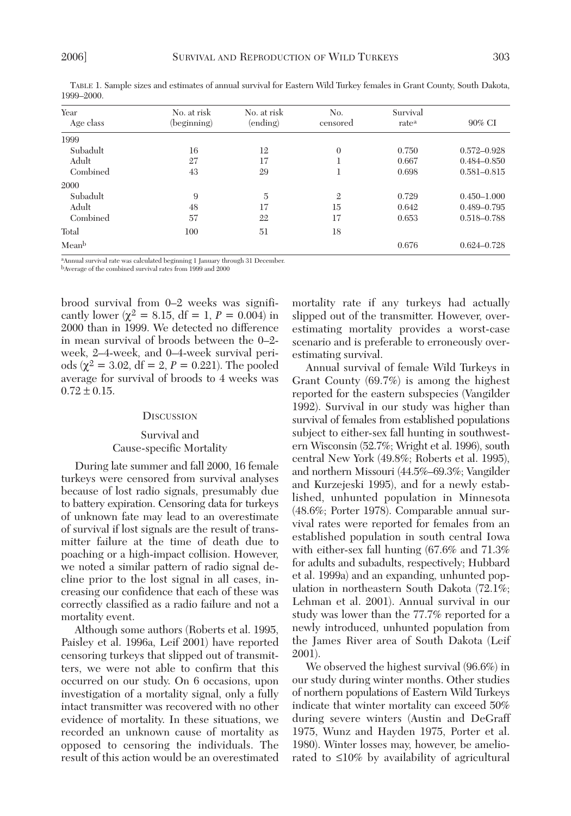| Year<br>Age class | No. at risk<br>(beginning) | No. at risk<br>(ending) | No.<br>censored | Survival<br>rate <sup>a</sup> | 90% CI          |
|-------------------|----------------------------|-------------------------|-----------------|-------------------------------|-----------------|
| 1999              |                            |                         |                 |                               |                 |
| Subadult          | 16                         | 12                      | $\theta$        | 0.750                         | $0.572 - 0.928$ |
| Adult             | 27                         | 17                      |                 | 0.667                         | $0.484 - 0.850$ |
| Combined          | 43                         | 29                      | 1               | 0.698                         | $0.581 - 0.815$ |
| 2000              |                            |                         |                 |                               |                 |
| Subadult          | 9                          | 5                       | $\mathbf{2}$    | 0.729                         | $0.450 - 1.000$ |
| Adult             | 48                         | 17                      | 15              | 0.642                         | $0.489 - 0.795$ |
| Combined          | 57                         | 22                      | 17              | 0.653                         | 0.518-0.788     |
| Total             | 100                        | 51                      | 18              |                               |                 |
| Meanb             |                            |                         |                 | 0.676                         | $0.624 - 0.728$ |

TABLE 1. Sample sizes and estimates of annual survival for Eastern Wild Turkey females in Grant County, South Dakota, 1999–2000.

aAnnual survival rate was calculated beginning 1 January through 31 December.

bAverage of the combined survival rates from 1999 and 2000

brood survival from 0–2 weeks was significantly lower ( $\chi^2 = 8.15$ , df = 1, P = 0.004) in 2000 than in 1999. We detected no difference in mean survival of broods between the 0–2 week, 2–4-week, and 0–4-week survival periods ( $\chi^2 = 3.02$ , df = 2, P = 0.221). The pooled average for survival of broods to 4 weeks was  $0.72 \pm 0.15$ .

### **DISCUSSION**

### Survival and Cause-specific Mortality

During late summer and fall 2000, 16 female turkeys were censored from survival analyses because of lost radio signals, presumably due to battery expiration. Censoring data for turkeys of unknown fate may lead to an overestimate of survival if lost signals are the result of transmitter failure at the time of death due to poaching or a high-impact collision. However, we noted a similar pattern of radio signal decline prior to the lost signal in all cases, increasing our confidence that each of these was correctly classified as a radio failure and not a mortality event.

Although some authors (Roberts et al. 1995, Paisley et al. 1996a, Leif 2001) have reported censoring turkeys that slipped out of transmitters, we were not able to confirm that this occurred on our study. On 6 occasions, upon investigation of a mortality signal, only a fully intact transmitter was recovered with no other evidence of mortality. In these situations, we recorded an unknown cause of mortality as opposed to censoring the individuals. The result of this action would be an overestimated mortality rate if any turkeys had actually slipped out of the transmitter. However, overestimating mortality provides a worst-case scenario and is preferable to erroneously overestimating survival.

Annual survival of female Wild Turkeys in Grant County (69.7%) is among the highest reported for the eastern subspecies (Vangilder 1992). Survival in our study was higher than survival of females from established populations subject to either-sex fall hunting in southwestern Wisconsin (52.7%; Wright et al. 1996), south central New York (49.8%; Roberts et al. 1995), and northern Missouri (44.5%–69.3%; Vangilder and Kurzejeski 1995), and for a newly established, unhunted population in Minnesota (48.6%; Porter 1978). Comparable annual survival rates were reported for females from an established population in south central Iowa with either-sex fall hunting (67.6% and 71.3% for adults and subadults, respectively; Hubbard et al. 1999a) and an expanding, unhunted population in northeastern South Dakota (72.1%; Lehman et al. 2001). Annual survival in our study was lower than the 77.7% reported for a newly introduced, unhunted population from the James River area of South Dakota (Leif 2001).

We observed the highest survival (96.6%) in our study during winter months. Other studies of northern populations of Eastern Wild Turkeys indicate that winter mortality can exceed 50% during severe winters (Austin and DeGraff 1975, Wunz and Hayden 1975, Porter et al. 1980). Winter losses may, however, be ameliorated to ≤10% by availability of agricultural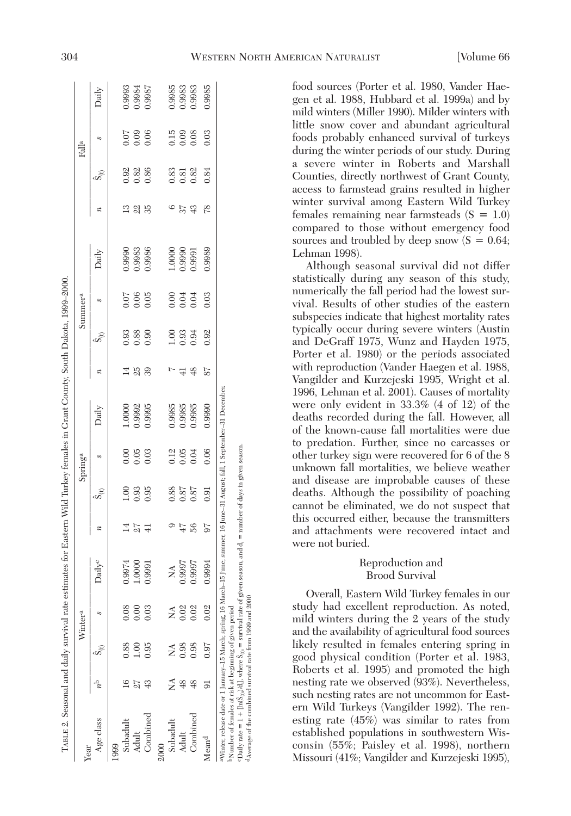| Year              |               |      | Winter <sup>a</sup> |                           |                  |                                             | Spring <sup>a</sup> |        |                  |      | Summer <sup>a</sup> |        |               |                                             | Falla          |                  |
|-------------------|---------------|------|---------------------|---------------------------|------------------|---------------------------------------------|---------------------|--------|------------------|------|---------------------|--------|---------------|---------------------------------------------|----------------|------------------|
| Age class         |               |      |                     | <b>Jaily</b> <sup>c</sup> | $\boldsymbol{n}$ | Se                                          | S                   | Daily  | $\boldsymbol{n}$ | Se   | S                   | Daily  | π             | ≑<br>ه                                      |                | Daily            |
| 1999              |               |      |                     |                           |                  |                                             |                     |        |                  |      |                     |        |               |                                             |                |                  |
| Subadult          |               | 0.88 | 0.08                | 9974                      |                  | $1.00\,$                                    | 0.00                | 1.0000 |                  | 0.93 | 0.07                | 0.9990 | $\mathbf{13}$ | 0.92                                        | 0.07           | 0.9993           |
| Adult             |               | 1.00 | 00(                 | $1.0000\,$                | 27               | 0.93                                        | 0.05                | 1.9992 | 23               | 0.88 | 0.06                | 0.9983 | 22            | 0.82                                        | 0.09           | 1.9984           |
| Combined          |               | 0.95 | 0.03                | .9991                     | ₽                | 0.95                                        | 0.03                | 0.9995 | 39               | 0.90 | 0.05                | 0.9986 | 35            | 0.86                                        | 0.06           |                  |
|                   |               |      |                     |                           |                  |                                             |                     |        |                  |      |                     |        |               |                                             |                |                  |
| Subadult          |               |      |                     | Ź                         |                  |                                             |                     | 0.9985 |                  | 1.00 | 0.00                | 1.0000 |               |                                             |                |                  |
| Adult             |               | 0.98 | 0.02                | 0.9997                    | 47               | $\begin{array}{c} 0.88 \\ 0.87 \end{array}$ | $0.12$<br>0.05      | 0.9985 |                  | 0.93 | 0.04                | 0.9990 | 57            | $\begin{array}{c} 0.83 \\ 0.81 \end{array}$ | $0.15$<br>0.09 | 0.9985<br>0.9983 |
| Combined          | $\frac{8}{3}$ | 0.98 | 0.02                | .9997                     | 36               | 0.87                                        | 0.04                | 0.9985 | ≆                | 0.94 | 0.04                | 1.9991 | 43            | 0.82                                        | 0.08           | 0.9983           |
| Mean <sup>d</sup> | ವ             | 0.97 | 0.02                | 9994                      | 56               | 0.91                                        | 0.06                | 0.9990 | 57               | 0.92 | 0.03                | 0.9989 | 78            | 0.84                                        | 0.03           | 0.9985           |

dAverage of the combined survival rate from 1999 and 2000

Average of the combined survival rate from 1999 and 2000

food sources (Porter et al. 1980, Vander Haegen et al. 1988, Hubbard et al. 1999a) and by mild winters (Miller 1990). Milder winters with little snow cover and abundant agricultural foods probably enhanced survival of turkeys during the winter periods of our study. During a severe winter in Roberts and Marshall Counties, directly northwest of Grant County, access to farmstead grains resulted in higher winter survival among Eastern Wild Turkey females remaining near farmsteads  $(S = 1.0)$ compared to those without emergency food sources and troubled by deep snow  $(S = 0.64;$ Lehman 1998). Although seasonal survival did not differ

statistically during any season of this study, numerically the fall period had the lowest survival. Results of other studies of the eastern subspecies indicate that highest mortality rates typically occur during severe winters (Austin and DeGraff 1975, Wunz and Hayden 1975, Porter et al. 1980) or the periods associated with reproduction (Vander Haegen et al. 1988, Vangilder and Kurzejeski 1995, Wright et al. 1996, Lehman et al. 2001). Causes of mortality were only evident in 33.3% (4 of 12) of the deaths recorded during the fall. However, all of the known-cause fall mortalities were due to predation. Further, since no carcasses or other turkey sign were recovered for 6 of the 8 unknown fall mortalities, we believe weather and disease are improbable causes of these deaths. Although the possibility of poaching cannot be eliminated, we do not suspect that this occurred either, because the transmitters and attachments were recovered intact and were not buried.

# Reproduction and Brood Survival

Overall, Eastern Wild Turkey females in our study had excellent reproduction. As noted, mild winters during the 2 years of the study and the availability of agricultural food sources likely resulted in females entering spring in good physical condition (Porter et al. 1983, Roberts et al. 1995) and promoted the high nesting rate we observed (93%). Nevertheless, such nesting rates are not uncommon for Eastern Wild Turkeys (Vangilder 1992). The renesting rate (45%) was similar to rates from established populations in southwestern Wisconsin (55%; Paisley et al. 1998), northern Missouri (41%; Vangilder and Kurzejeski 1995),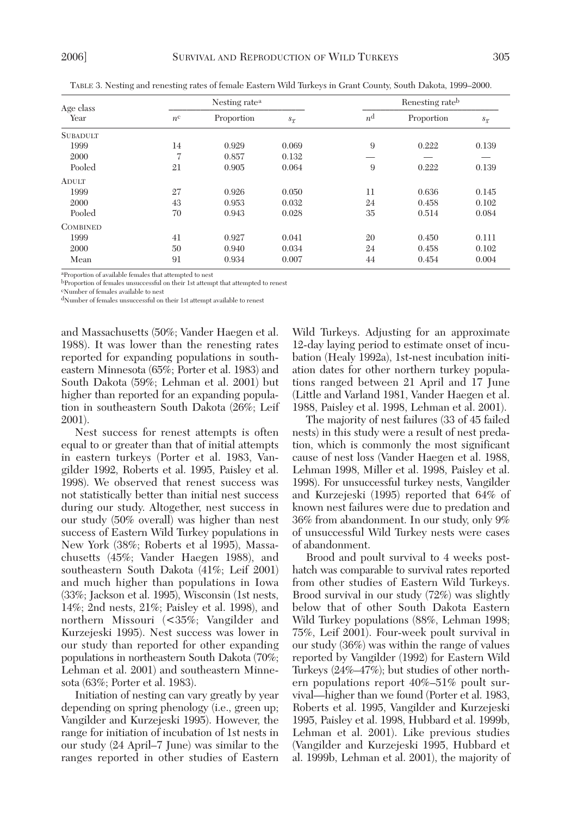| Age class       |                | Nesting rate <sup>a</sup> |                    |             | Renesting rateb |                    |
|-----------------|----------------|---------------------------|--------------------|-------------|-----------------|--------------------|
| Year            | $n^{\rm c}$    | Proportion                | $S_{\overline{x}}$ | $n^{\rm d}$ | Proportion      | $s_{\overline{x}}$ |
| <b>SUBADULT</b> |                |                           |                    |             |                 |                    |
| 1999            | 14             | 0.929                     | 0.069              | 9           | 0.222           | 0.139              |
| 2000            | $\overline{ }$ | 0.857                     | 0.132              |             |                 |                    |
| Pooled          | 21             | 0.905                     | 0.064              | 9           | 0.222           | 0.139              |
| <b>ADULT</b>    |                |                           |                    |             |                 |                    |
| 1999            | 27             | 0.926                     | 0.050              | 11          | 0.636           | 0.145              |
| 2000            | 43             | 0.953                     | 0.032              | 24          | 0.458           | 0.102              |
| Pooled          | 70             | 0.943                     | 0.028              | 35          | 0.514           | 0.084              |
| <b>COMBINED</b> |                |                           |                    |             |                 |                    |
| 1999            | 41             | 0.927                     | 0.041              | 20          | 0.450           | 0.111              |
| 2000            | 50             | 0.940                     | 0.034              | 24          | 0.458           | 0.102              |
| Mean            | 91             | 0.934                     | 0.007              | 44          | 0.454           | 0.004              |

TABLE 3. Nesting and renesting rates of female Eastern Wild Turkeys in Grant County, South Dakota, 1999–2000.

aProportion of available females that attempted to nest bProportion of females unsuccessful on their 1st attempt that attempted to renest

cNumber of females available to nest

dNumber of females unsuccessful on their 1st attempt available to renest

and Massachusetts (50%; Vander Haegen et al. 1988). It was lower than the renesting rates reported for expanding populations in southeastern Minnesota (65%; Porter et al. 1983) and South Dakota (59%; Lehman et al. 2001) but higher than reported for an expanding population in southeastern South Dakota (26%; Leif 2001).

Nest success for renest attempts is often equal to or greater than that of initial attempts in eastern turkeys (Porter et al. 1983, Vangilder 1992, Roberts et al. 1995, Paisley et al. 1998). We observed that renest success was not statistically better than initial nest success during our study. Altogether, nest success in our study (50% overall) was higher than nest success of Eastern Wild Turkey populations in New York (38%; Roberts et al 1995), Massachusetts (45%; Vander Haegen 1988), and southeastern South Dakota (41%; Leif 2001) and much higher than populations in Iowa (33%; Jackson et al. 1995), Wisconsin (1st nests, 14%; 2nd nests, 21%; Paisley et al. 1998), and northern Missouri (<35%; Vangilder and Kurzejeski 1995). Nest success was lower in our study than reported for other expanding populations in northeastern South Dakota (70%; Lehman et al. 2001) and southeastern Minnesota (63%; Porter et al. 1983).

Initiation of nesting can vary greatly by year depending on spring phenology (i.e., green up; Vangilder and Kurzejeski 1995). However, the range for initiation of incubation of 1st nests in our study (24 April–7 June) was similar to the ranges reported in other studies of Eastern

Wild Turkeys. Adjusting for an approximate 12-day laying period to estimate onset of incubation (Healy 1992a), 1st-nest incubation initiation dates for other northern turkey populations ranged between 21 April and 17 June (Little and Varland 1981, Vander Haegen et al. 1988, Paisley et al. 1998, Lehman et al. 2001).

The majority of nest failures (33 of 45 failed nests) in this study were a result of nest predation, which is commonly the most significant cause of nest loss (Vander Haegen et al. 1988, Lehman 1998, Miller et al. 1998, Paisley et al. 1998). For unsuccessful turkey nests, Vangilder and Kurzejeski (1995) reported that 64% of known nest failures were due to predation and 36% from abandonment. In our study, only 9% of unsuccessful Wild Turkey nests were cases of abandonment.

Brood and poult survival to 4 weeks posthatch was comparable to survival rates reported from other studies of Eastern Wild Turkeys. Brood survival in our study (72%) was slightly below that of other South Dakota Eastern Wild Turkey populations (88%, Lehman 1998; 75%, Leif 2001). Four-week poult survival in our study (36%) was within the range of values reported by Vangilder (1992) for Eastern Wild Turkeys (24%–47%); but studies of other northern populations report 40%–51% poult survival—higher than we found (Porter et al. 1983, Roberts et al. 1995, Vangilder and Kurzejeski 1995, Paisley et al. 1998, Hubbard et al. 1999b, Lehman et al. 2001). Like previous studies (Vangilder and Kurzejeski 1995, Hubbard et al. 1999b, Lehman et al. 2001), the majority of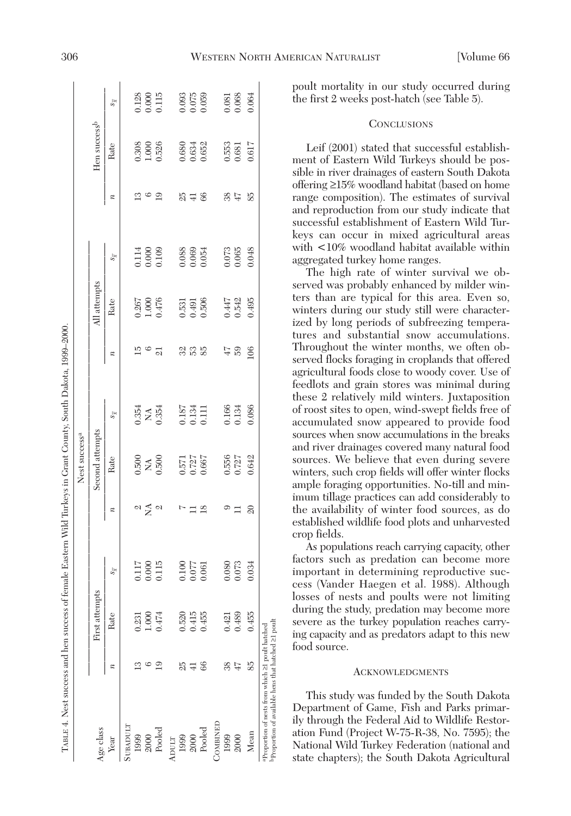|           |                  |                |                    |                  | Nest success <sup>a</sup> |                         |                  |                         |                    |                  |                               |                                                        |
|-----------|------------------|----------------|--------------------|------------------|---------------------------|-------------------------|------------------|-------------------------|--------------------|------------------|-------------------------------|--------------------------------------------------------|
| Age class |                  | First attempts |                    |                  | Second attempts           |                         |                  | All attempts            |                    |                  | Hen success <sup>b</sup>      |                                                        |
| Year      | $\boldsymbol{z}$ | Rate           | $s_{\overline{x}}$ | $\boldsymbol{z}$ | Rate                      | $s_{\overline{x}}$      | $\boldsymbol{z}$ | Rate                    | $s_{\overline{x}}$ | $\boldsymbol{z}$ | Rate                          | $s_{\overline{x}}$                                     |
| SUBADULT  |                  |                |                    |                  |                           |                         |                  |                         |                    |                  |                               |                                                        |
| 1999      | $\mathbf{G}$     | 0.231          | 0.117              |                  | 0.500                     |                         | ā                |                         | 0.114              | $\mathbf{13}$    |                               |                                                        |
| 2000      | అ                | 1.000          | 0.000              | $\approx \simeq$ | $\tilde{\mathbf{z}}$      | 0.354<br>NA<br>0.354    | అ                | 0.267<br>1.000<br>0.476 | 0.000              | $\frac{6}{19}$   | $0.308$<br>$1.000$<br>$0.526$ | $\begin{array}{c} 0.128 \\ 0.000 \\ 0.115 \end{array}$ |
| Poolec    | $\mathbf{S}$     | 0.474          | 0.115              | $\mathfrak{a}$   | 0.500                     |                         | $\overline{21}$  |                         | 0.109              |                  |                               |                                                        |
| ADULT     |                  |                |                    |                  |                           |                         |                  |                         |                    |                  |                               |                                                        |
| 1999      | 25               | 0.520          | 0.100              | Þ                |                           |                         | 32               | 0.531                   | 0.088              | 25               | 0.680                         |                                                        |
| 2000      | $\overline{+}$   | 0.415          | 0.077              | $\Box$           | 0.571<br>0.727            | 0.187<br>0.134<br>0.111 | 13 13            | 0.491                   | 0.069              | $\pm$            | 0.634                         | $0.093$<br>$0.075$<br>$0.059$                          |
| Pooled    | 66               | 0.455          | 0.061              | $^{18}$          | 0.667                     |                         |                  | 0.506                   | 0.054              | 66               | 0.652                         |                                                        |
| COMBINED  |                  |                |                    |                  |                           |                         |                  |                         |                    |                  |                               |                                                        |
| 1999      | 38               | 0.421          | 0.080              | ග                | 0.556                     |                         | $\ddot{+}$       |                         |                    | 38               | 0.553                         |                                                        |
| 2000      | $47$             | 0.489          | 0.073              |                  | 0.727                     | 0.166<br>0.134          | S9               | 0.447<br>0.542          | $0.073$<br>$0.065$ | $47$             | 0.681                         | 0.081<br>0.068                                         |
| Mear      | 85               | 0.455          | 0.034              | $\overline{20}$  | 0.642                     | 0.086                   | 106              | 0.495                   | 0.048              | 85               | 0.617                         | 0.064                                                  |

poult mortality in our study occurred during the first 2 weeks post-hatch (see Table 5).

# **CONCLUSIONS**

Leif (2001) stated that successful establishment of Eastern Wild Turkeys should be possible in river drainages of eastern South Dakota offering ≥15% woodland habitat (based on home range composition). The estimates of survival and reproduction from our study indicate that successful establishment of Eastern Wild Turkeys can occur in mixed agricultural areas with <10% woodland habitat available within aggregated turkey home ranges.

The high rate of winter survival we observed was probably enhanced by milder winters than are typical for this area. Even so, winters during our study still were characterized by long periods of subfreezing temperatures and substantial snow accumulations. Throughout the winter months, we often observed flocks foraging in croplands that offered agricultural foods close to woody cover. Use of feedlots and grain stores was minimal during these 2 relatively mild winters. Juxtaposition of roost sites to open, wind-swept fields free of accumulated snow appeared to provide food sources when snow accumulations in the breaks and river drainages covered many natural food sources. We believe that even during severe winters, such crop fields will offer winter flocks ample foraging opportunities. No-till and minimum tillage practices can add considerably to the availability of winter food sources, as do established wildlife food plots and unharvested crop fields.

As populations reach carrying capacity, other factors such as predation can become more important in determining reproductive success (Vander Haegen et al. 1988). Although losses of nests and poults were not limiting during the study, predation may become more severe as the turkey population reaches carrying capacity and as predators adapt to this new food source.

#### **ACKNOWLEDGMENTS**

This study was funded by the South Dakota Department of Game, Fish and Parks primarily through the Federal Aid to Wildlife Restoration Fund (Project W-75-R-38, No. 7595); the National Wild Turkey Federation (national and state chapters); the South Dakota Agricultural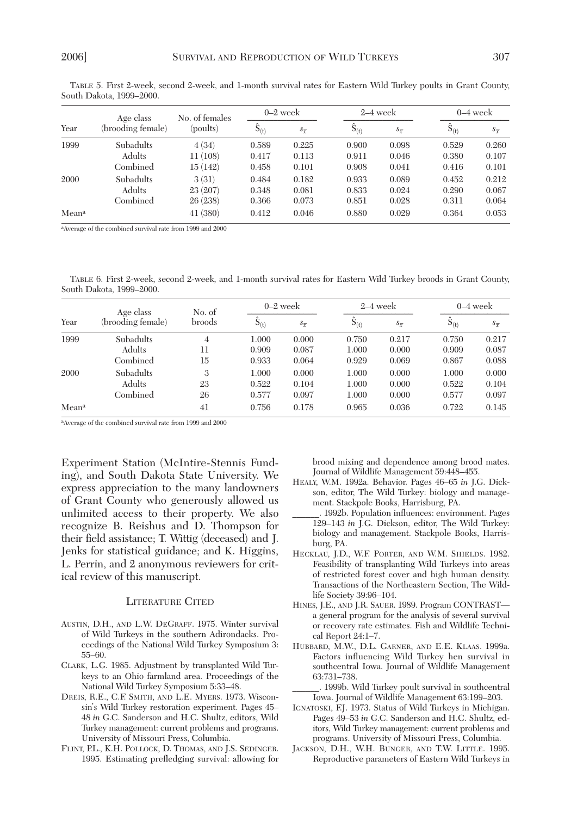|       | Age class         | No. of females |           | $0-2$ week         |           | $2-4$ week         |                | $0-4$ week         |
|-------|-------------------|----------------|-----------|--------------------|-----------|--------------------|----------------|--------------------|
| Year  | (brooding female) | (poults)       | $S_{(t)}$ | $s_{\overline{r}}$ | $S_{(t)}$ | $s_{\overline{x}}$ | 5(t)           | $s_{\overline{x}}$ |
| 1999  | Subadults         | 4(34)          | 0.589     | 0.225              | 0.900     | 0.098              | 0.529          | 0.260              |
|       | Adults            | 11(108)        | 0.417     | 0.113              | 0.911     | 0.046              | 0.380          | 0.107              |
|       | Combined          | 15(142)        | 0.458     | 0.101              | 0.908     | 0.041              | 0.416<br>0.452 | 0.101              |
| 2000  | Subadults         | 3(31)          | 0.484     | 0.182              | 0.933     | 0.089              |                | 0.212              |
|       | Adults            | 23 (207)       | 0.348     | 0.081              | 0.833     | 0.024              | 0.290          | 0.067              |
|       | Combined          | 26 (238)       | 0.366     | 0.073              | 0.851     | 0.028              | 0.311          | 0.064              |
| Meana |                   | 41 (380)       | 0.412     | 0.046              | 0.880     | 0.029              | 0.364          | 0.053              |

TABLE 5. First 2-week, second 2-week, and 1-month survival rates for Eastern Wild Turkey poults in Grant County, South Dakota, 1999–2000.

aAverage of the combined survival rate from 1999 and 2000

TABLE 6. First 2-week, second 2-week, and 1-month survival rates for Eastern Wild Turkey broods in Grant County, South Dakota, 1999–2000.

|       | Age class         | No. of         |           | $0-2$ week                                                                    |           | $2-4$ week         |                                  | $0-4$ week         |
|-------|-------------------|----------------|-----------|-------------------------------------------------------------------------------|-----------|--------------------|----------------------------------|--------------------|
| Year  | (brooding female) | broods         | $S_{(t)}$ | $s_{\overline{x}}$                                                            | $S_{(t)}$ | $S_{\overline{Y}}$ | D(t)                             | $S_{\overline{Y}}$ |
| 1999  | <b>Subadults</b>  | $\overline{4}$ | 1.000     | 0.000                                                                         | 0.750     | 0.217              | 0.750                            | 0.217              |
|       | Adults            | 11             | 0.909     | 0.087<br>1.000<br>0.000<br>0.909<br>0.933<br>0.064<br>0.929<br>0.867<br>0.069 | 0.087     |                    |                                  |                    |
|       | Combined          | 15             |           |                                                                               |           |                    | 1.000<br>0.522<br>0.577<br>0.722 | 0.088              |
| 2000  | <b>Subadults</b>  | 3              | 1.000     | 0.000                                                                         | 1.000     | 0.000              |                                  | 0.000              |
|       | Adults            | 23             | 0.522     | 0.104                                                                         | 1.000     | 0.000              |                                  | 0.104              |
|       | Combined          | 26             | 0.577     | 0.097                                                                         | 1.000     | 0.000              |                                  | 0.097              |
| Meana |                   | 41             | 0.756     | 0.178                                                                         | 0.965     | 0.036              |                                  | 0.145              |

aAverage of the combined survival rate from 1999 and 2000

Experiment Station (McIntire-Stennis Funding), and South Dakota State University. We express appreciation to the many landowners of Grant County who generously allowed us unlimited access to their property. We also recognize B. Reishus and D. Thompson for their field assistance; T. Wittig (deceased) and J. Jenks for statistical guidance; and K. Higgins, L. Perrin, and 2 anonymous reviewers for critical review of this manuscript.

#### LITERATURE CITED

- AUSTIN, D.H., AND L.W. DEGRAFF. 1975. Winter survival of Wild Turkeys in the southern Adirondacks. Proceedings of the National Wild Turkey Symposium 3: 55–60.
- CLARK, L.G. 1985. Adjustment by transplanted Wild Turkeys to an Ohio farmland area. Proceedings of the National Wild Turkey Symposium 5:33–48.
- DREIS, R.E., C.F. SMITH, AND L.E. MYERS. 1973. Wisconsin's Wild Turkey restoration experiment. Pages 45– 48 *in* G.C. Sanderson and H.C. Shultz, editors, Wild Turkey management: current problems and programs. University of Missouri Press, Columbia.
- FLINT, P.L., K.H. POLLOCK, D. THOMAS, AND J.S. SEDINGER. 1995. Estimating prefledging survival: allowing for

brood mixing and dependence among brood mates. Journal of Wildlife Management 59:448–455.

- HEALY, W.M. 1992a. Behavior. Pages 46–65 *in* J.G. Dickson, editor, The Wild Turkey: biology and management. Stackpole Books, Harrisburg, PA.
- \_\_\_\_\_\_. 1992b. Population influences: environment. Pages 129–143 *in* J.G. Dickson, editor, The Wild Turkey: biology and management. Stackpole Books, Harrisburg, PA.
- HECKLAU, J.D., W.F. PORTER, AND W.M. SHIELDS. 1982. Feasibility of transplanting Wild Turkeys into areas of restricted forest cover and high human density. Transactions of the Northeastern Section, The Wildlife Society 39:96–104.
- HINES, J.E., AND J.R. SAUER. 1989. Program CONTRAST a general program for the analysis of several survival or recovery rate estimates. Fish and Wildlife Technical Report 24:1–7.
- HUBBARD, M.W., D.L. GARNER, AND E.E. KLAAS. 1999a. Factors influencing Wild Turkey hen survival in southcentral Iowa. Journal of Wildlife Management 63:731–738.

\_\_\_\_\_\_. 1999b. Wild Turkey poult survival in southcentral Iowa. Journal of Wildlife Management 63:199–203.

- IGNATOSKI, F.J. 1973. Status of Wild Turkeys in Michigan. Pages 49–53 *in* G.C. Sanderson and H.C. Shultz, editors, Wild Turkey management: current problems and programs. University of Missouri Press, Columbia.
- JACKSON, D.H., W.H. BUNGER, AND T.W. LITTLE. 1995. Reproductive parameters of Eastern Wild Turkeys in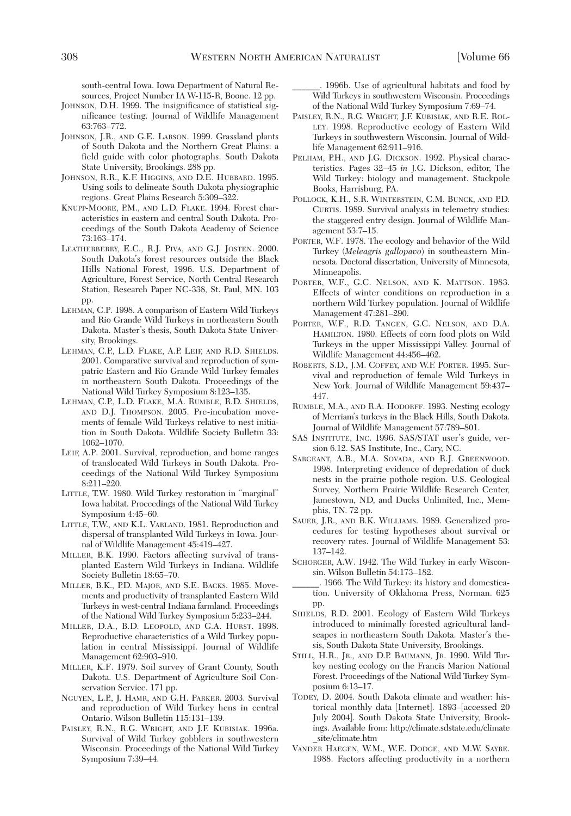south-central Iowa. Iowa Department of Natural Resources, Project Number IA W-115-R, Boone. 12 pp.

- JOHNSON, D.H. 1999. The insignificance of statistical significance testing. Journal of Wildlife Management 63:763–772.
- JOHNSON, J.R., AND G.E. LARSON. 1999. Grassland plants of South Dakota and the Northern Great Plains: a field guide with color photographs. South Dakota State University, Brookings. 288 pp.
- JOHNSON, R.R., K.F. HIGGINS, AND D.E. HUBBARD. 1995. Using soils to delineate South Dakota physiographic regions. Great Plains Research 5:309–322.
- KNUPP-MOORE, P.M., AND L.D. FLAKE. 1994. Forest characteristics in eastern and central South Dakota. Proceedings of the South Dakota Academy of Science 73:163–174.
- LEATHERBERRY, E.C., R.J. PIVA, AND G.J. JOSTEN. 2000. South Dakota's forest resources outside the Black Hills National Forest, 1996. U.S. Department of Agriculture, Forest Service, North Central Research Station, Research Paper NC-338, St. Paul, MN. 103 pp.
- LEHMAN, C.P. 1998. A comparison of Eastern Wild Turkeys and Rio Grande Wild Turkeys in northeastern South Dakota. Master's thesis, South Dakota State University, Brookings.
- LEHMAN, C.P., L.D. FLAKE, A.P. LEIF, AND R.D. SHIELDS. 2001. Comparative survival and reproduction of sympatric Eastern and Rio Grande Wild Turkey females in northeastern South Dakota. Proceedings of the National Wild Turkey Symposium 8:123–135.
- LEHMAN, C.P., L.D. FLAKE, M.A. RUMBLE, R.D. SHIELDS, AND D.J. THOMPSON. 2005. Pre-incubation movements of female Wild Turkeys relative to nest initiation in South Dakota. Wildlife Society Bulletin 33: 1062–1070.
- LEIF, A.P. 2001. Survival, reproduction, and home ranges of translocated Wild Turkeys in South Dakota. Proceedings of the National Wild Turkey Symposium 8:211–220.
- LITTLE, T.W. 1980. Wild Turkey restoration in "marginal" Iowa habitat. Proceedings of the National Wild Turkey Symposium 4:45–60.
- LITTLE, T.W., AND K.L. VARLAND. 1981. Reproduction and dispersal of transplanted Wild Turkeys in Iowa. Journal of Wildlife Management 45:419–427.
- MILLER, B.K. 1990. Factors affecting survival of transplanted Eastern Wild Turkeys in Indiana. Wildlife Society Bulletin 18:65–70.
- MILLER, B.K., P.D. MAJOR, AND S.E. BACKS. 1985. Movements and productivity of transplanted Eastern Wild Turkeys in west-central Indiana farmland. Proceedings of the National Wild Turkey Symposium 5:233–244.
- MILLER, D.A., B.D. LEOPOLD, AND G.A. HURST. 1998. Reproductive characteristics of a Wild Turkey population in central Mississippi. Journal of Wildlife Management 62:903–910.
- MILLER, K.F. 1979. Soil survey of Grant County, South Dakota. U.S. Department of Agriculture Soil Conservation Service. 171 pp.
- NGUYEN, L.P., J. HAMR, AND G.H. PARKER. 2003. Survival and reproduction of Wild Turkey hens in central Ontario. Wilson Bulletin 115:131–139.
- PAISLEY, R.N., R.G. WRIGHT, AND J.F. KUBISIAK. 1996a. Survival of Wild Turkey gobblers in southwestern Wisconsin. Proceedings of the National Wild Turkey Symposium 7:39–44.

1996b. Use of agricultural habitats and food by Wild Turkeys in southwestern Wisconsin. Proceedings of the National Wild Turkey Symposium 7:69–74.

- PAISLEY, R.N., R.G. WRIGHT, J.F. KUBISIAK, AND R.E. ROL-LEY. 1998. Reproductive ecology of Eastern Wild Turkeys in southwestern Wisconsin. Journal of Wildlife Management 62:911–916.
- PELHAM, P.H., AND J.G. DICKSON. 1992. Physical characteristics. Pages 32–45 *in* J.G. Dickson, editor, The Wild Turkey: biology and management. Stackpole Books, Harrisburg, PA.
- POLLOCK, K.H., S.R. WINTERSTEIN, C.M. BUNCK, AND P.D. CURTIS. 1989. Survival analysis in telemetry studies: the staggered entry design. Journal of Wildlife Management 53:7–15.
- PORTER, W.F. 1978. The ecology and behavior of the Wild Turkey (*Meleagris gallopavo*) in southeastern Minnesota. Doctoral dissertation, University of Minnesota, Minneapolis.
- PORTER, W.F., G.C. NELSON, AND K. MATTSON. 1983. Effects of winter conditions on reproduction in a northern Wild Turkey population. Journal of Wildlife Management 47:281–290.
- PORTER, W.F., R.D. TANGEN, G.C. NELSON, AND D.A. HAMILTON. 1980. Effects of corn food plots on Wild Turkeys in the upper Mississippi Valley. Journal of Wildlife Management 44:456–462.
- ROBERTS, S.D., J.M. COFFEY, AND W.F. PORTER. 1995. Survival and reproduction of female Wild Turkeys in New York. Journal of Wildlife Management 59:437– 447.
- RUMBLE, M.A., AND R.A. HODORFF. 1993. Nesting ecology of Merriam's turkeys in the Black Hills, South Dakota. Journal of Wildlife Management 57:789–801.
- SAS INSTITUTE, INC. 1996. SAS/STAT user's guide, version 6.12. SAS Institute, Inc., Cary, NC.
- SARGEANT, A.B., M.A. SOVADA, AND R.J. GREENWOOD. 1998. Interpreting evidence of depredation of duck nests in the prairie pothole region. U.S. Geological Survey, Northern Prairie Wildlife Research Center, Jamestown, ND, and Ducks Unlimited, Inc., Memphis, TN. 72 pp.
- SAUER, J.R., AND B.K. WILLIAMS. 1989. Generalized procedures for testing hypotheses about survival or recovery rates. Journal of Wildlife Management 53: 137–142.
- SCHORGER, A.W. 1942. The Wild Turkey in early Wisconsin. Wilson Bulletin 54:173–182.
- \_\_\_\_\_\_. 1966. The Wild Turkey: its history and domestication. University of Oklahoma Press, Norman. 625 pp.
- SHIELDS, R.D. 2001. Ecology of Eastern Wild Turkeys introduced to minimally forested agricultural landscapes in northeastern South Dakota. Master's thesis, South Dakota State University, Brookings.
- STILL, H.R., JR., AND D.P. BAUMANN, JR. 1990. Wild Turkey nesting ecology on the Francis Marion National Forest. Proceedings of the National Wild Turkey Symposium 6:13–17.
- TODEY, D. 2004. South Dakota climate and weather: historical monthly data [Internet]. 1893–[accessed 20 July 2004]. South Dakota State University, Brookings. Available from: http://climate.sdstate.edu/climate \_site/climate.htm
- VANDER HAEGEN, W.M., W.E. DODGE, AND M.W. SAYRE. 1988. Factors affecting productivity in a northern